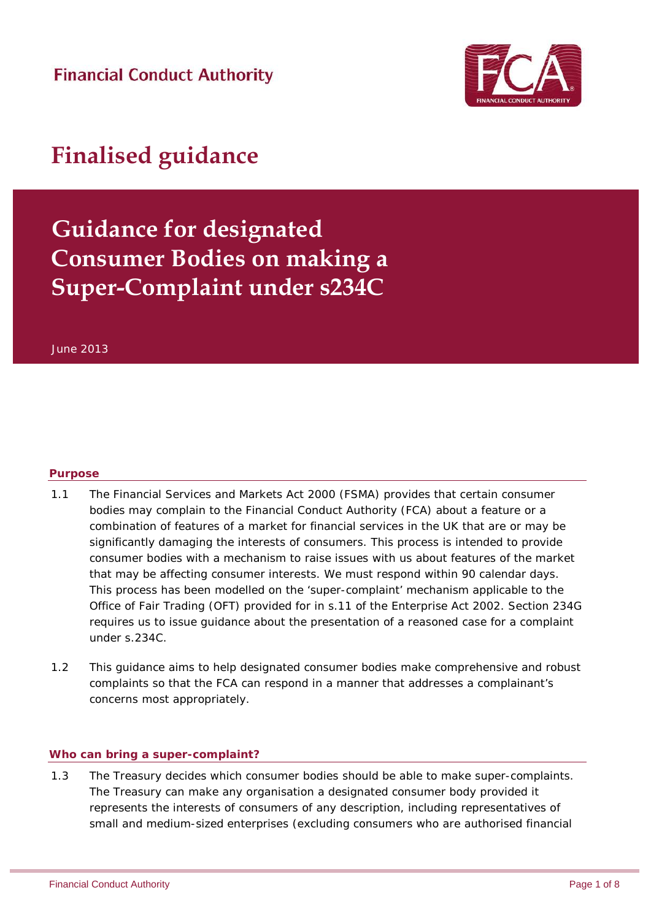**Financial Conduct Authority** 



# **Finalised guidance**

## **Guidance for designated Consumer Bodies on making a Super-Complaint under s234C**

June 2013

#### **Purpose**

- 1.1 The Financial Services and Markets Act 2000 (FSMA) provides that certain consumer bodies may complain to the Financial Conduct Authority (FCA) about a feature or a combination of features of a market for financial services in the UK that are or may be significantly damaging the interests of consumers. This process is intended to provide consumer bodies with a mechanism to raise issues with us about features of the market that may be affecting consumer interests. We must respond within 90 calendar days. This process has been modelled on the 'super-complaint' mechanism applicable to the Office of Fair Trading (OFT) provided for in s.11 of the Enterprise Act 2002. Section 234G requires us to issue guidance about the presentation of a reasoned case for a complaint under s.234C.
- 1.2 This guidance aims to help designated consumer bodies make comprehensive and robust complaints so that the FCA can respond in a manner that addresses a complainant's concerns most appropriately.

#### **Who can bring a super-complaint?**

1.3 The Treasury decides which consumer bodies should be able to make super-complaints. The Treasury can make any organisation a designated consumer body provided it represents the interests of consumers of any description, including representatives of small and medium-sized enterprises (excluding consumers who are authorised financial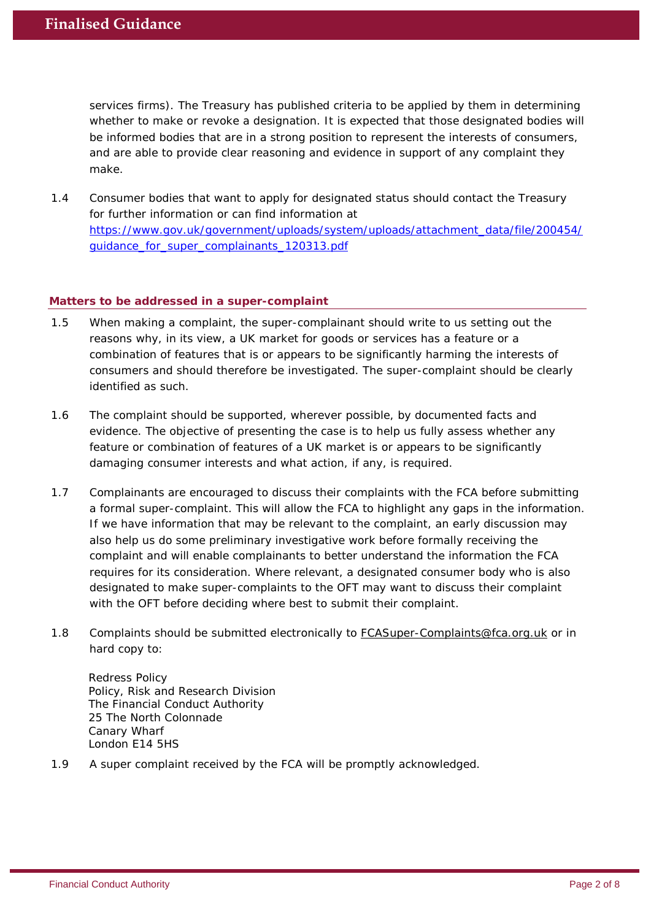services firms). The Treasury has published criteria to be applied by them in determining whether to make or revoke a designation. It is expected that those designated bodies will be informed bodies that are in a strong position to represent the interests of consumers, and are able to provide clear reasoning and evidence in support of any complaint they make.

1.4 Consumer bodies that want to apply for designated status should contact the Treasury for further information or can find information at [https://www.gov.uk/government/uploads/system/uploads/attachment\\_data/file/200454/](https://www.gov.uk/government/uploads/system/uploads/attachment_data/file/200454/guidance_for_super_complainants_120313.pdf) [guidance\\_for\\_super\\_complainants\\_120313.pdf](https://www.gov.uk/government/uploads/system/uploads/attachment_data/file/200454/guidance_for_super_complainants_120313.pdf)

### **Matters to be addressed in a super-complaint**

- 1.5 When making a complaint, the super-complainant should write to us setting out the reasons why, in its view, a UK market for goods or services has a feature or a combination of features that is or appears to be significantly harming the interests of consumers and should therefore be investigated. The super-complaint should be clearly identified as such.
- 1.6 The complaint should be supported, wherever possible, by documented facts and evidence. The objective of presenting the case is to help us fully assess whether any feature or combination of features of a UK market is or appears to be significantly damaging consumer interests and what action, if any, is required.
- 1.7 Complainants are encouraged to discuss their complaints with the FCA before submitting a formal super-complaint. This will allow the FCA to highlight any gaps in the information. If we have information that may be relevant to the complaint, an early discussion may also help us do some preliminary investigative work before formally receiving the complaint and will enable complainants to better understand the information the FCA requires for its consideration. Where relevant, a designated consumer body who is also designated to make super-complaints to the OFT may want to discuss their complaint with the OFT before deciding where best to submit their complaint.
- 1.8 Complaints should be submitted electronically to [FCASuper-Complaints@fca.org.uk](mailto:FCASuper-Complaints@fca.org.uk) or in hard copy to:

Redress Policy Policy, Risk and Research Division The Financial Conduct Authority 25 The North Colonnade Canary Wharf London E14 5HS

1.9 A super complaint received by the FCA will be promptly acknowledged.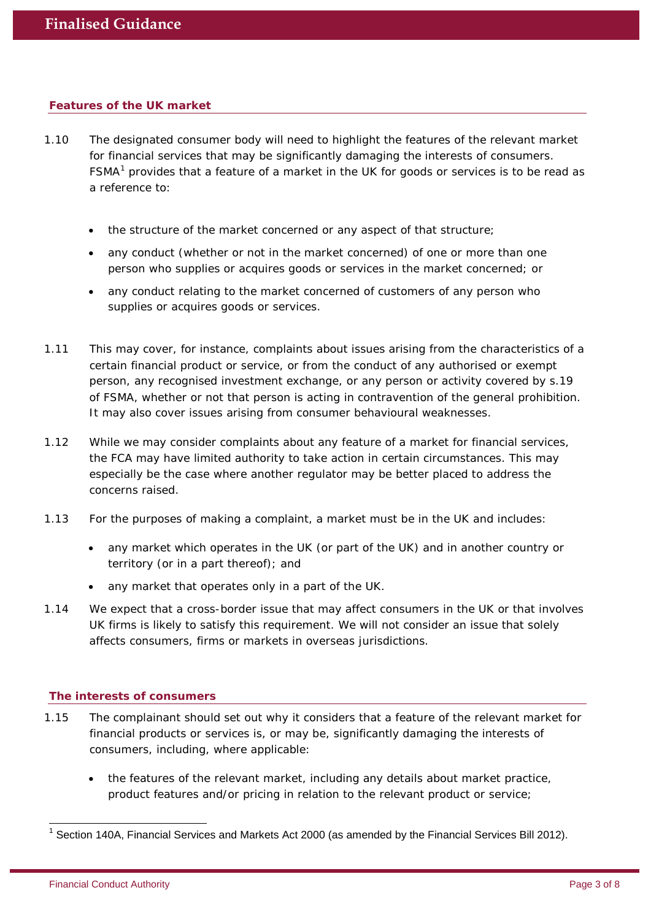#### **Features of the UK market**

- 1.10 The designated consumer body will need to highlight the features of the relevant market for financial services that may be significantly damaging the interests of consumers. FSMA<sup>[1](#page-2-0)</sup> provides that a feature of a market in the UK for goods or services is to be read as a reference to:
	- the structure of the market concerned or any aspect of that structure;
	- any conduct (whether or not in the market concerned) of one or more than one person who supplies or acquires goods or services in the market concerned; or
	- any conduct relating to the market concerned of customers of any person who supplies or acquires goods or services.
- 1.11 This may cover, for instance, complaints about issues arising from the characteristics of a certain financial product or service, or from the conduct of any authorised or exempt person, any recognised investment exchange, or any person or activity covered by s.19 of FSMA, whether or not that person is acting in contravention of the general prohibition. It may also cover issues arising from consumer behavioural weaknesses.
- 1.12 While we may consider complaints about any feature of a market for financial services, the FCA may have limited authority to take action in certain circumstances. This may especially be the case where another regulator may be better placed to address the concerns raised.
- 1.13 For the purposes of making a complaint, a market must be in the UK and includes:
	- any market which operates in the UK (or part of the UK) and in another country or territory (or in a part thereof); and
	- any market that operates only in a part of the UK.
- 1.14 We expect that a cross-border issue that may affect consumers in the UK or that involves UK firms is likely to satisfy this requirement. We will not consider an issue that solely affects consumers, firms or markets in overseas jurisdictions.

#### **The interests of consumers**

- 1.15 The complainant should set out why it considers that a feature of the relevant market for financial products or services is, or may be, significantly damaging the interests of consumers, including, where applicable:
	- the features of the relevant market, including any details about market practice, product features and/or pricing in relation to the relevant product or service;

<span id="page-2-0"></span> $1$  Section 140A, Financial Services and Markets Act 2000 (as amended by the Financial Services Bill 2012).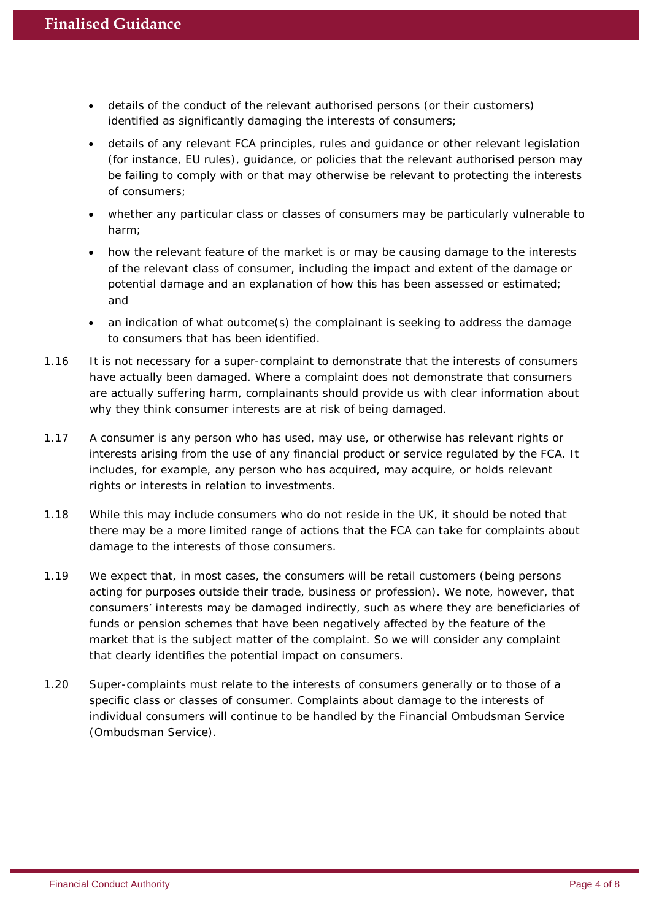- details of the conduct of the relevant authorised persons (or their customers) identified as significantly damaging the interests of consumers;
- details of any relevant FCA principles, rules and guidance or other relevant legislation (for instance, EU rules), guidance, or policies that the relevant authorised person may be failing to comply with or that may otherwise be relevant to protecting the interests of consumers;
- whether any particular class or classes of consumers may be particularly vulnerable to harm;
- how the relevant feature of the market is or may be causing damage to the interests of the relevant class of consumer, including the impact and extent of the damage or potential damage and an explanation of how this has been assessed or estimated; and
- an indication of what outcome(s) the complainant is seeking to address the damage to consumers that has been identified.
- 1.16 It is not necessary for a super-complaint to demonstrate that the interests of consumers have actually been damaged. Where a complaint does not demonstrate that consumers are actually suffering harm, complainants should provide us with clear information about why they think consumer interests are at risk of being damaged.
- 1.17 A consumer is any person who has used, may use, or otherwise has relevant rights or interests arising from the use of any financial product or service regulated by the FCA. It includes, for example, any person who has acquired, may acquire, or holds relevant rights or interests in relation to investments.
- 1.18 While this may include consumers who do not reside in the UK, it should be noted that there may be a more limited range of actions that the FCA can take for complaints about damage to the interests of those consumers.
- 1.19 We expect that, in most cases, the consumers will be retail customers (being persons acting for purposes outside their trade, business or profession). We note, however, that consumers' interests may be damaged indirectly, such as where they are beneficiaries of funds or pension schemes that have been negatively affected by the feature of the market that is the subject matter of the complaint. So we will consider any complaint that clearly identifies the potential impact on consumers.
- 1.20 Super-complaints must relate to the interests of consumers generally or to those of a specific class or classes of consumer. Complaints about damage to the interests of individual consumers will continue to be handled by the Financial Ombudsman Service (Ombudsman Service).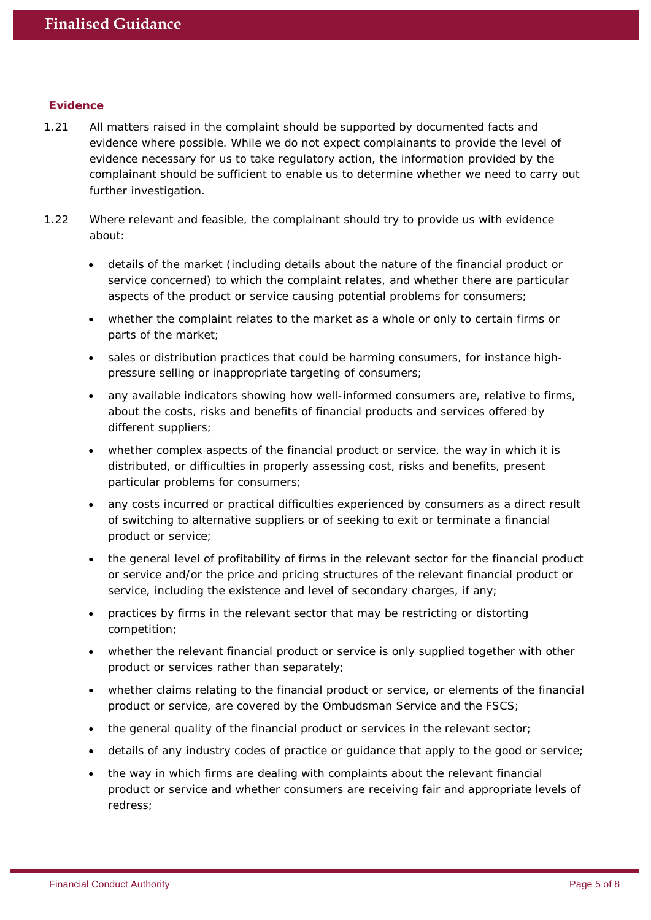#### **Evidence**

- 1.21 All matters raised in the complaint should be supported by documented facts and evidence where possible. While we do not expect complainants to provide the level of evidence necessary for us to take regulatory action, the information provided by the complainant should be sufficient to enable us to determine whether we need to carry out further investigation.
- 1.22 Where relevant and feasible, the complainant should try to provide us with evidence about:
	- details of the market (including details about the nature of the financial product or service concerned) to which the complaint relates, and whether there are particular aspects of the product or service causing potential problems for consumers;
	- whether the complaint relates to the market as a whole or only to certain firms or parts of the market;
	- sales or distribution practices that could be harming consumers, for instance highpressure selling or inappropriate targeting of consumers;
	- any available indicators showing how well-informed consumers are, relative to firms, about the costs, risks and benefits of financial products and services offered by different suppliers;
	- whether complex aspects of the financial product or service, the way in which it is distributed, or difficulties in properly assessing cost, risks and benefits, present particular problems for consumers;
	- any costs incurred or practical difficulties experienced by consumers as a direct result of switching to alternative suppliers or of seeking to exit or terminate a financial product or service;
	- the general level of profitability of firms in the relevant sector for the financial product or service and/or the price and pricing structures of the relevant financial product or service, including the existence and level of secondary charges, if any;
	- practices by firms in the relevant sector that may be restricting or distorting competition;
	- whether the relevant financial product or service is only supplied together with other product or services rather than separately;
	- whether claims relating to the financial product or service, or elements of the financial product or service, are covered by the Ombudsman Service and the FSCS;
	- the general quality of the financial product or services in the relevant sector;
	- details of any industry codes of practice or guidance that apply to the good or service;
	- the way in which firms are dealing with complaints about the relevant financial product or service and whether consumers are receiving fair and appropriate levels of redress;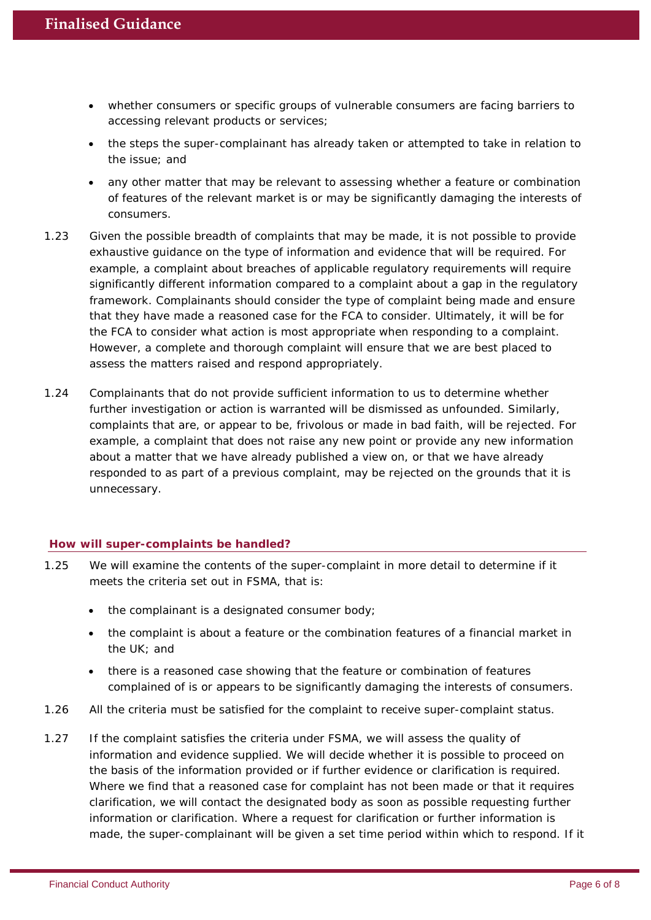- whether consumers or specific groups of vulnerable consumers are facing barriers to accessing relevant products or services;
- the steps the super-complainant has already taken or attempted to take in relation to the issue; and
- any other matter that may be relevant to assessing whether a feature or combination of features of the relevant market is or may be significantly damaging the interests of consumers.
- 1.23 Given the possible breadth of complaints that may be made, it is not possible to provide exhaustive guidance on the type of information and evidence that will be required. For example, a complaint about breaches of applicable regulatory requirements will require significantly different information compared to a complaint about a gap in the regulatory framework. Complainants should consider the type of complaint being made and ensure that they have made a reasoned case for the FCA to consider. Ultimately, it will be for the FCA to consider what action is most appropriate when responding to a complaint. However, a complete and thorough complaint will ensure that we are best placed to assess the matters raised and respond appropriately.
- 1.24 Complainants that do not provide sufficient information to us to determine whether further investigation or action is warranted will be dismissed as unfounded. Similarly, complaints that are, or appear to be, frivolous or made in bad faith, will be rejected. For example, a complaint that does not raise any new point or provide any new information about a matter that we have already published a view on, or that we have already responded to as part of a previous complaint, may be rejected on the grounds that it is unnecessary.

#### **How will super-complaints be handled?**

- 1.25 We will examine the contents of the super-complaint in more detail to determine if it meets the criteria set out in FSMA, that is:
	- the complainant is a designated consumer body;
	- the complaint is about a feature or the combination features of a financial market in the UK; and
	- there is a reasoned case showing that the feature or combination of features complained of is or appears to be significantly damaging the interests of consumers.
- 1.26 All the criteria must be satisfied for the complaint to receive super-complaint status.
- 1.27 If the complaint satisfies the criteria under FSMA, we will assess the quality of information and evidence supplied. We will decide whether it is possible to proceed on the basis of the information provided or if further evidence or clarification is required. Where we find that a reasoned case for complaint has not been made or that it requires clarification, we will contact the designated body as soon as possible requesting further information or clarification. Where a request for clarification or further information is made, the super-complainant will be given a set time period within which to respond. If it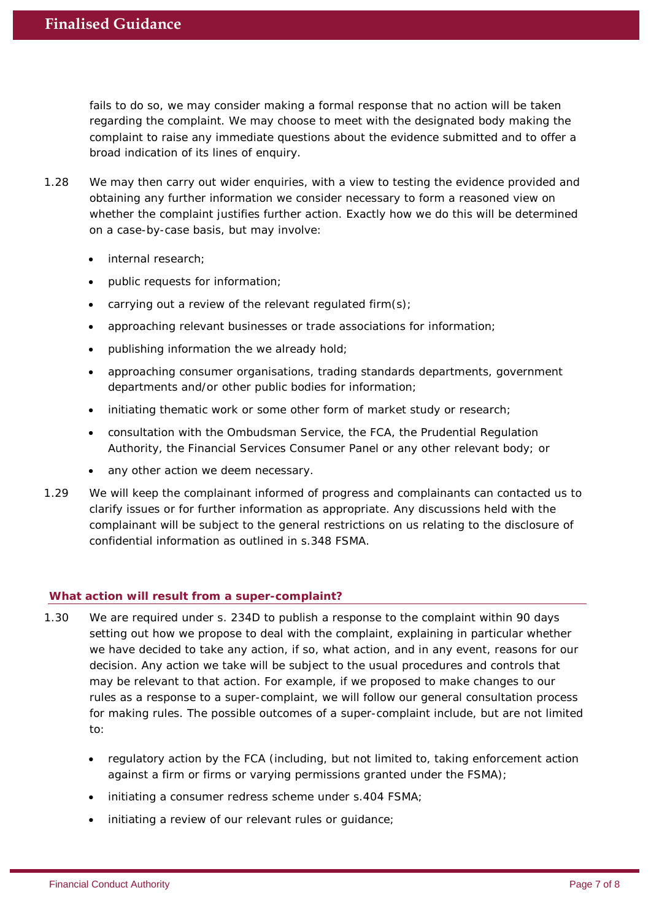fails to do so, we may consider making a formal response that no action will be taken regarding the complaint. We may choose to meet with the designated body making the complaint to raise any immediate questions about the evidence submitted and to offer a broad indication of its lines of enquiry.

- 1.28 We may then carry out wider enquiries, with a view to testing the evidence provided and obtaining any further information we consider necessary to form a reasoned view on whether the complaint justifies further action. Exactly how we do this will be determined on a case-by-case basis, but may involve:
	- internal research:
	- public requests for information;
	- carrying out a review of the relevant regulated firm(s);
	- approaching relevant businesses or trade associations for information;
	- publishing information the we already hold;
	- approaching consumer organisations, trading standards departments, government departments and/or other public bodies for information;
	- initiating thematic work or some other form of market study or research;
	- consultation with the Ombudsman Service, the FCA, the Prudential Regulation Authority, the Financial Services Consumer Panel or any other relevant body; or
	- any other action we deem necessary.
- 1.29 We will keep the complainant informed of progress and complainants can contacted us to clarify issues or for further information as appropriate. Any discussions held with the complainant will be subject to the general restrictions on us relating to the disclosure of confidential information as outlined in s.348 FSMA.

#### **What action will result from a super-complaint?**

- 1.30 We are required under s. 234D to publish a response to the complaint within 90 days setting out how we propose to deal with the complaint, explaining in particular whether we have decided to take any action, if so, what action, and in any event, reasons for our decision. Any action we take will be subject to the usual procedures and controls that may be relevant to that action. For example, if we proposed to make changes to our rules as a response to a super-complaint, we will follow our general consultation process for making rules. The possible outcomes of a super-complaint include, but are not limited to:
	- regulatory action by the FCA (including, but not limited to, taking enforcement action against a firm or firms or varying permissions granted under the  $FSMA$ );
	- initiating a consumer redress scheme under s.404 FSMA;
	- initiating a review of our relevant rules or quidance;